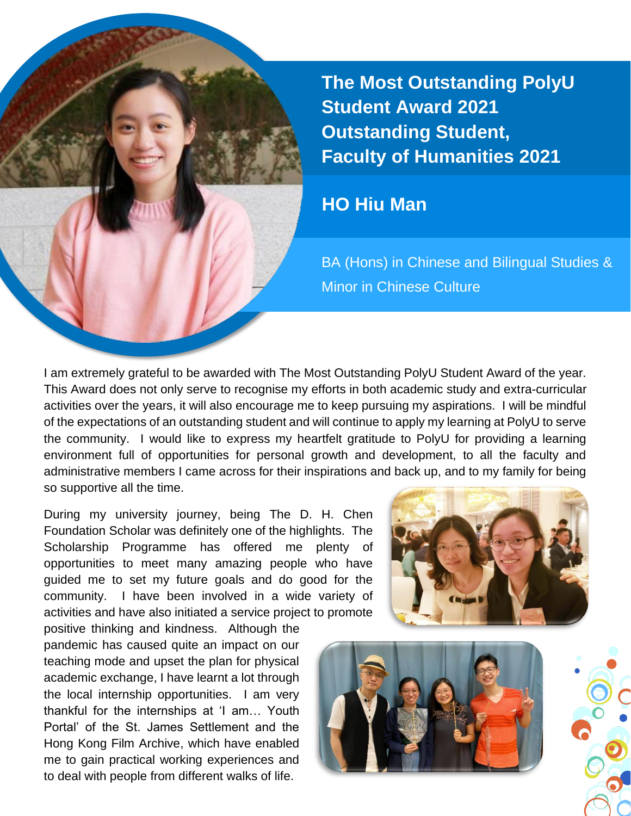**The Most Outstanding PolyU Student Award 2021 Outstanding Student, Faculty of Humanities 2021**

## **HO Hiu Man**

BA (Hons) in Chinese and Bilingual Studies & Minor in Chinese Culture

I am extremely grateful to be awarded with The Most Outstanding PolyU Student Award of the year. This Award does not only serve to recognise my efforts in both academic study and extra-curricular activities over the years, it will also encourage me to keep pursuing my aspirations. I will be mindful of the expectations of an outstanding student and will continue to apply my learning at PolyU to serve the community. I would like to express my heartfelt gratitude to PolyU for providing a learning environment full of opportunities for personal growth and development, to all the faculty and administrative members I came across for their inspirations and back up, and to my family for being so supportive all the time.

During my university journey, being The D. H. Chen Foundation Scholar was definitely one of the highlights. The Scholarship Programme has offered me plenty of opportunities to meet many amazing people who have guided me to set my future goals and do good for the community. I have been involved in a wide variety of activities and have also initiated a service project to promote

positive thinking and kindness. Although the pandemic has caused quite an impact on our teaching mode and upset the plan for physical academic exchange, I have learnt a lot through the local internship opportunities. I am very thankful for the internships at 'I am… Youth Portal' of the St. James Settlement and the Hong Kong Film Archive, which have enabled me to gain practical working experiences and to deal with people from different walks of life.